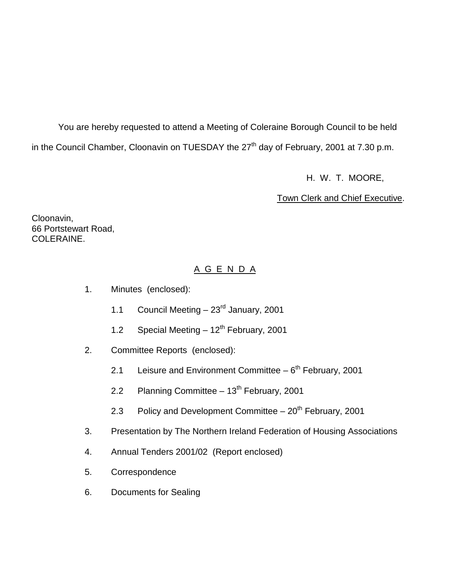You are hereby requested to attend a Meeting of Coleraine Borough Council to be held in the Council Chamber, Cloonavin on TUESDAY the 27<sup>th</sup> day of February, 2001 at 7.30 p.m.

H. W. T. MOORE,

Town Clerk and Chief Executive.

Cloonavin, 66 Portstewart Road, COLERAINE.

## A G E N D A

- 1. Minutes (enclosed):
	- 1.1 Council Meeting  $-23<sup>rd</sup>$  January, 2001
	- 1.2 Special Meeting  $-12^{th}$  February, 2001
- 2. Committee Reports (enclosed):
	- 2.1 Leisure and Environment Committee  $-6<sup>th</sup>$  February, 2001
	- 2.2 Planning Committee  $-13<sup>th</sup>$  February, 2001
	- 2.3 Policy and Development Committee  $-20<sup>th</sup>$  February, 2001
- 3. Presentation by The Northern Ireland Federation of Housing Associations
- 4. Annual Tenders 2001/02 (Report enclosed)
- 5. Correspondence
- 6. Documents for Sealing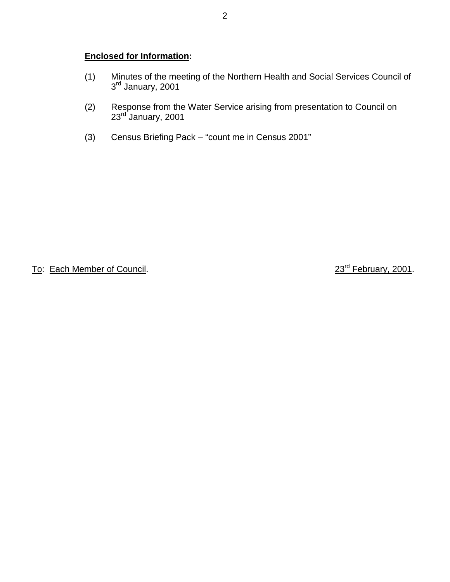## **Enclosed for Information:**

- (1) Minutes of the meeting of the Northern Health and Social Services Council of 3rd January, 2001
- (2) Response from the Water Service arising from presentation to Council on 23<sup>rd J</sup>anuary, 2001
- (3) Census Briefing Pack "count me in Census 2001"

To: Each Member of Council. 23<sup>rd</sup> February, 2001.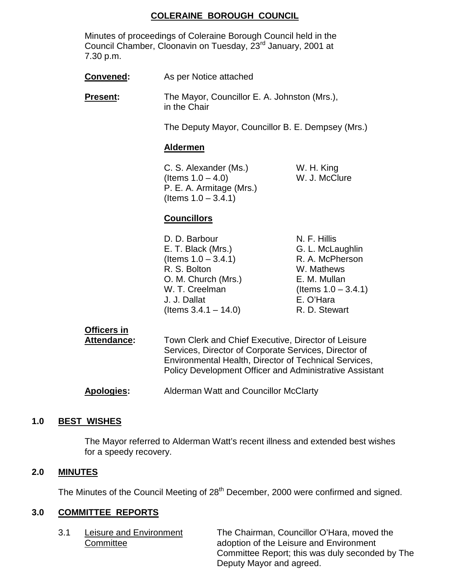## **COLERAINE BOROUGH COUNCIL**

Minutes of proceedings of Coleraine Borough Council held in the Council Chamber, Cloonavin on Tuesday, 23rd January, 2001 at 7.30 p.m.

| <b>Convened:</b> | As per Notice attached                                                                               |                                                                                   |  |
|------------------|------------------------------------------------------------------------------------------------------|-----------------------------------------------------------------------------------|--|
| <b>Present:</b>  | in the Chair                                                                                         | The Mayor, Councillor E. A. Johnston (Mrs.),                                      |  |
|                  |                                                                                                      | The Deputy Mayor, Councillor B. E. Dempsey (Mrs.)                                 |  |
|                  | <b>Aldermen</b>                                                                                      |                                                                                   |  |
|                  | C. S. Alexander (Ms.)<br>(Items $1.0 - 4.0$ )<br>P. E. A. Armitage (Mrs.)<br>(Items $1.0 - 3.4.1$ )  | W. H. King<br>W. J. McClure                                                       |  |
|                  | <b>Councillors</b>                                                                                   |                                                                                   |  |
|                  | D. D. Barbour<br>E. T. Black (Mrs.)<br>(Items $1.0 - 3.4.1$ )<br>R. S. Bolton<br>O. M. Church (Mrs.) | N. F. Hillis<br>G. L. McLaughlin<br>R. A. McPherson<br>W. Mathews<br>E. M. Mullan |  |

| <b>Apologies:</b> | Alderman Watt and Councillor McClarty |  |
|-------------------|---------------------------------------|--|

**Attendance:** Town Clerk and Chief Executive, Director of Leisure

## **1.0 BEST WISHES**

The Mayor referred to Alderman Watt's recent illness and extended best wishes for a speedy recovery.

W. T. Creelman  $($ Items  $1.0 - 3.4.1)$ 

Services, Director of Corporate Services, Director of Environmental Health, Director of Technical Services, Policy Development Officer and Administrative Assistant

J. J. Dallat E. O'Hara  $($ ltems  $3.4.1 - 14.0)$  R. D. Stewart

#### **2.0 MINUTES**

The Minutes of the Council Meeting of 28<sup>th</sup> December, 2000 were confirmed and signed.

## **3.0 COMMITTEE REPORTS**

**Officers in**

3.1 Leisure and Environment The Chairman, Councillor O'Hara, moved the Committee **Committee** adoption of the Leisure and Environment Committee Report; this was duly seconded by The Deputy Mayor and agreed.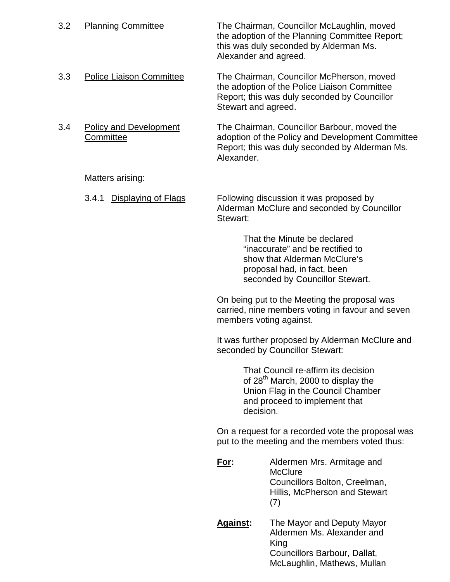| 3.2 | <b>Planning Committee</b>                  | The Chairman, Councillor McLaughlin, moved<br>the adoption of the Planning Committee Report;<br>this was duly seconded by Alderman Ms.<br>Alexander and agreed. |                                                                                                                                                                   |
|-----|--------------------------------------------|-----------------------------------------------------------------------------------------------------------------------------------------------------------------|-------------------------------------------------------------------------------------------------------------------------------------------------------------------|
| 3.3 | <b>Police Liaison Committee</b>            | Stewart and agreed.                                                                                                                                             | The Chairman, Councillor McPherson, moved<br>the adoption of the Police Liaison Committee<br>Report; this was duly seconded by Councillor                         |
| 3.4 | <b>Policy and Development</b><br>Committee | Alexander.                                                                                                                                                      | The Chairman, Councillor Barbour, moved the<br>adoption of the Policy and Development Committee<br>Report; this was duly seconded by Alderman Ms.                 |
|     | Matters arising:                           |                                                                                                                                                                 |                                                                                                                                                                   |
|     | Displaying of Flags<br>3.4.1               | Stewart:                                                                                                                                                        | Following discussion it was proposed by<br>Alderman McClure and seconded by Councillor                                                                            |
|     |                                            |                                                                                                                                                                 | That the Minute be declared<br>"inaccurate" and be rectified to<br>show that Alderman McClure's<br>proposal had, in fact, been<br>seconded by Councillor Stewart. |
|     |                                            |                                                                                                                                                                 | On being put to the Meeting the proposal was<br>carried, nine members voting in favour and seven<br>members voting against.                                       |
|     |                                            | It was further proposed by Alderman McClure and<br>seconded by Councillor Stewart:                                                                              |                                                                                                                                                                   |
|     |                                            | decision.                                                                                                                                                       | That Council re-affirm its decision<br>of 28 <sup>th</sup> March, 2000 to display the<br>Union Flag in the Council Chamber<br>and proceed to implement that       |
|     |                                            |                                                                                                                                                                 | On a request for a recorded vote the proposal was<br>put to the meeting and the members voted thus:                                                               |
|     |                                            | <u>For:</u>                                                                                                                                                     | Aldermen Mrs. Armitage and<br><b>McClure</b><br>Councillors Bolton, Creelman,<br>Hillis, McPherson and Stewart<br>(7)                                             |
|     |                                            | <b>Against:</b>                                                                                                                                                 | The Mayor and Deputy Mayor<br>Aldermen Ms. Alexander and<br>King<br>Councillors Barbour, Dallat,<br>McLaughlin, Mathews, Mullan                                   |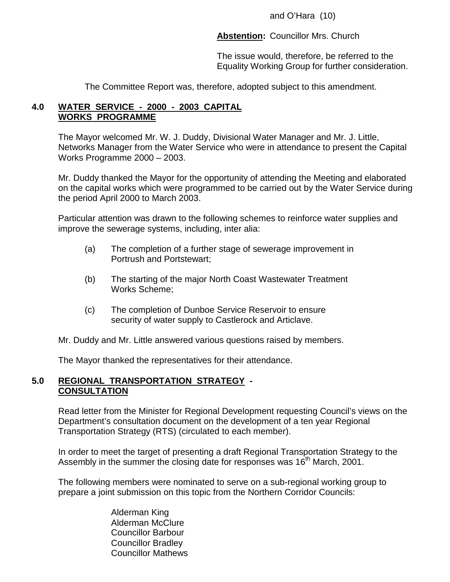and O'Hara (10)

**Abstention:** Councillor Mrs. Church

The issue would, therefore, be referred to the Equality Working Group for further consideration.

The Committee Report was, therefore, adopted subject to this amendment.

## **4.0 WATER SERVICE - 2000 - 2003 CAPITAL WORKS PROGRAMME**

The Mayor welcomed Mr. W. J. Duddy, Divisional Water Manager and Mr. J. Little, Networks Manager from the Water Service who were in attendance to present the Capital Works Programme 2000 – 2003.

Mr. Duddy thanked the Mayor for the opportunity of attending the Meeting and elaborated on the capital works which were programmed to be carried out by the Water Service during the period April 2000 to March 2003.

Particular attention was drawn to the following schemes to reinforce water supplies and improve the sewerage systems, including, inter alia:

- (a) The completion of a further stage of sewerage improvement in Portrush and Portstewart;
- (b) The starting of the major North Coast Wastewater Treatment Works Scheme;
- (c) The completion of Dunboe Service Reservoir to ensure security of water supply to Castlerock and Articlave.

Mr. Duddy and Mr. Little answered various questions raised by members.

The Mayor thanked the representatives for their attendance.

## **5.0 REGIONAL TRANSPORTATION STRATEGY - CONSULTATION**

Read letter from the Minister for Regional Development requesting Council's views on the Department's consultation document on the development of a ten year Regional Transportation Strategy (RTS) (circulated to each member).

In order to meet the target of presenting a draft Regional Transportation Strategy to the Assembly in the summer the closing date for responses was 16<sup>th</sup> March, 2001.

The following members were nominated to serve on a sub-regional working group to prepare a joint submission on this topic from the Northern Corridor Councils:

> Alderman King Alderman McClure Councillor Barbour Councillor Bradley Councillor Mathews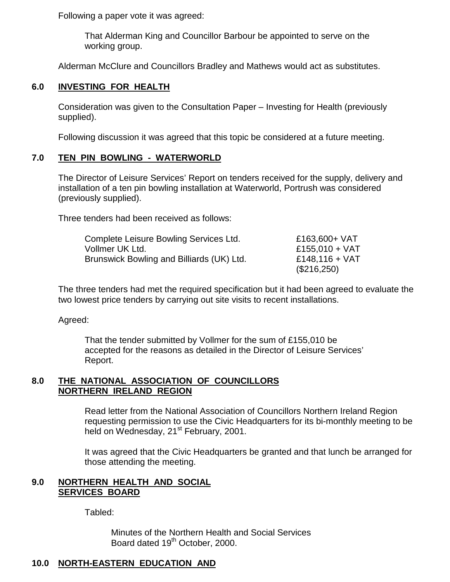Following a paper vote it was agreed:

That Alderman King and Councillor Barbour be appointed to serve on the working group.

Alderman McClure and Councillors Bradley and Mathews would act as substitutes.

## **6.0 INVESTING FOR HEALTH**

Consideration was given to the Consultation Paper – Investing for Health (previously supplied).

Following discussion it was agreed that this topic be considered at a future meeting.

## **7.0 TEN PIN BOWLING - WATERWORLD**

The Director of Leisure Services' Report on tenders received for the supply, delivery and installation of a ten pin bowling installation at Waterworld, Portrush was considered (previously supplied).

Three tenders had been received as follows:

| Complete Leisure Bowling Services Ltd.    | £163,600+ VAT    |
|-------------------------------------------|------------------|
| Vollmer UK Ltd.                           | £155,010 + VAT   |
| Brunswick Bowling and Billiards (UK) Ltd. | £148,116 + $VAT$ |
|                                           | (\$216,250)      |

The three tenders had met the required specification but it had been agreed to evaluate the two lowest price tenders by carrying out site visits to recent installations.

Agreed:

That the tender submitted by Vollmer for the sum of £155,010 be accepted for the reasons as detailed in the Director of Leisure Services' Report.

#### **8.0 THE NATIONAL ASSOCIATION OF COUNCILLORS NORTHERN IRELAND REGION**

Read letter from the National Association of Councillors Northern Ireland Region requesting permission to use the Civic Headquarters for its bi-monthly meeting to be held on Wednesday, 21<sup>st</sup> February, 2001.

It was agreed that the Civic Headquarters be granted and that lunch be arranged for those attending the meeting.

## **9.0 NORTHERN HEALTH AND SOCIAL SERVICES BOARD**

Tabled:

Minutes of the Northern Health and Social Services Board dated 19<sup>th</sup> October, 2000.

## **10.0 NORTH-EASTERN EDUCATION AND**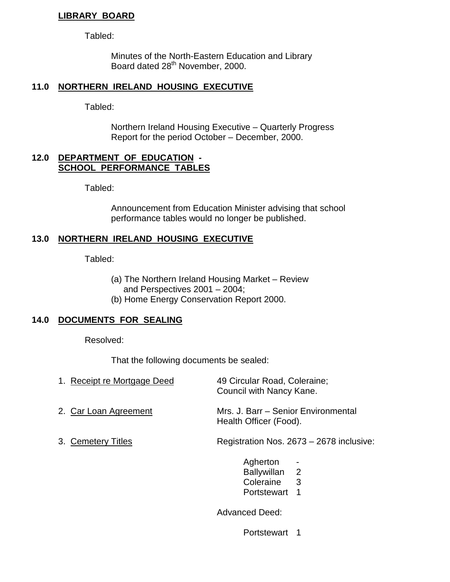## **LIBRARY BOARD**

Tabled:

Minutes of the North-Eastern Education and Library Board dated 28<sup>th</sup> November, 2000.

## **11.0 NORTHERN IRELAND HOUSING EXECUTIVE**

Tabled:

Northern Ireland Housing Executive – Quarterly Progress Report for the period October – December, 2000.

#### **12.0 DEPARTMENT OF EDUCATION - SCHOOL PERFORMANCE TABLES**

Tabled:

Announcement from Education Minister advising that school performance tables would no longer be published.

## **13.0 NORTHERN IRELAND HOUSING EXECUTIVE**

Tabled:

- (a) The Northern Ireland Housing Market Review and Perspectives 2001 – 2004;
- (b) Home Energy Conservation Report 2000.

## **14.0 DOCUMENTS FOR SEALING**

Resolved:

That the following documents be sealed:

| 1. Receipt re Mortgage Deed | 49 Circular Road, Coleraine;<br>Council with Nancy Kane.      |
|-----------------------------|---------------------------------------------------------------|
| 2. Car Loan Agreement       | Mrs. J. Barr – Senior Environmental<br>Health Officer (Food). |
| 3. Cemetery Titles          | Registration Nos. 2673 - 2678 inclusive:                      |
|                             | Agherton<br>Ballywillan 2<br>Coleraine<br>3<br>Portstewart    |

Advanced Deed:

Portstewart 1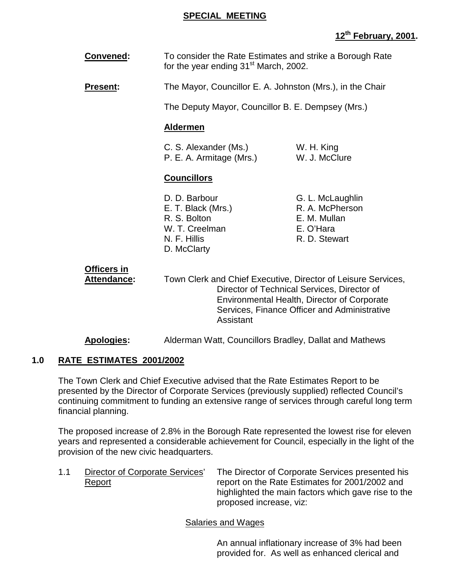## **SPECIAL MEETING**

## **12th February, 2001.**

| <b>Convened:</b> | To consider the Rate Estimates and strike a Borough Rate |
|------------------|----------------------------------------------------------|
|                  | for the year ending 31 <sup>st</sup> March, 2002.        |

**Present:** The Mayor, Councillor E. A. Johnston (Mrs.), in the Chair

The Deputy Mayor, Councillor B. E. Dempsey (Mrs.)

## **Aldermen**

| C. S. Alexander (Ms.)    | W. H. King    |
|--------------------------|---------------|
| P. E. A. Armitage (Mrs.) | W. J. McClure |

## **Councillors**

- R. S. Bolton **E. M. Mullan** W. T. Creelman E. O'Hara N. F. Hillis R. D. Stewart D. McClarty
- D. D. Barbour G. L. McLaughlin E. T. Black (Mrs.) R. A. McPherson

**Officers in**

**Attendance:** Town Clerk and Chief Executive, Director of Leisure Services, Director of Technical Services, Director of Environmental Health, Director of Corporate Services, Finance Officer and Administrative Assistant

**Apologies:** Alderman Watt, Councillors Bradley, Dallat and Mathews

## **1.0 RATE ESTIMATES 2001/2002**

The Town Clerk and Chief Executive advised that the Rate Estimates Report to be presented by the Director of Corporate Services (previously supplied) reflected Council's continuing commitment to funding an extensive range of services through careful long term financial planning.

The proposed increase of 2.8% in the Borough Rate represented the lowest rise for eleven years and represented a considerable achievement for Council, especially in the light of the provision of the new civic headquarters.

1.1 Director of Corporate Services' The Director of Corporate Services presented his Report report on the Rate Estimates for 2001/2002 and highlighted the main factors which gave rise to the proposed increase, viz:

Salaries and Wages

An annual inflationary increase of 3% had been provided for. As well as enhanced clerical and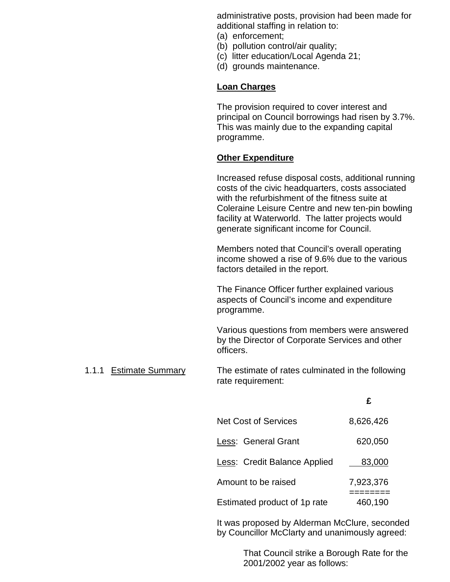administrative posts, provision had been made for additional staffing in relation to:

- (a) enforcement;
- (b) pollution control/air quality;
- (c) litter education/Local Agenda 21;
- (d) grounds maintenance.

## **Loan Charges**

The provision required to cover interest and principal on Council borrowings had risen by 3.7%. This was mainly due to the expanding capital programme.

## **Other Expenditure**

Increased refuse disposal costs, additional running costs of the civic headquarters, costs associated with the refurbishment of the fitness suite at Coleraine Leisure Centre and new ten-pin bowling facility at Waterworld. The latter projects would generate significant income for Council.

Members noted that Council's overall operating income showed a rise of 9.6% due to the various factors detailed in the report.

The Finance Officer further explained various aspects of Council's income and expenditure programme.

Various questions from members were answered by the Director of Corporate Services and other officers.

1.1.1 Estimate Summary The estimate of rates culminated in the following rate requirement:

|                              | £         |
|------------------------------|-----------|
| <b>Net Cost of Services</b>  | 8,626,426 |
| Less: General Grant          | 620,050   |
| Less: Credit Balance Applied | 83,000    |
| Amount to be raised          | 7,923,376 |
| Estimated product of 1p rate | 460,190   |

It was proposed by Alderman McClure, seconded by Councillor McClarty and unanimously agreed:

> That Council strike a Borough Rate for the 2001/2002 year as follows: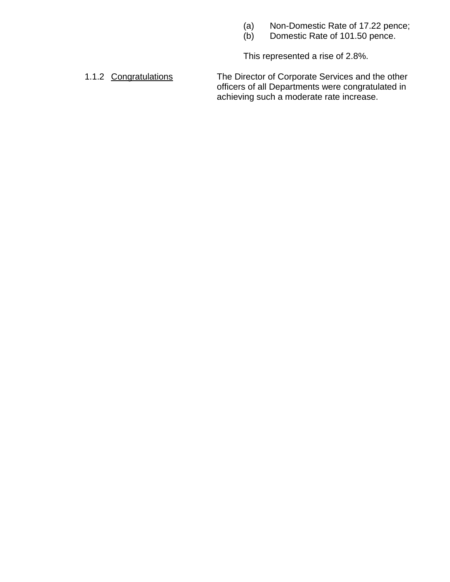- (a) Non-Domestic Rate of 17.22 pence;
- (b) Domestic Rate of 101.50 pence.

This represented a rise of 2.8%.

1.1.2 Congratulations The Director of Corporate Services and the other officers of all Departments were congratulated in achieving such a moderate rate increase.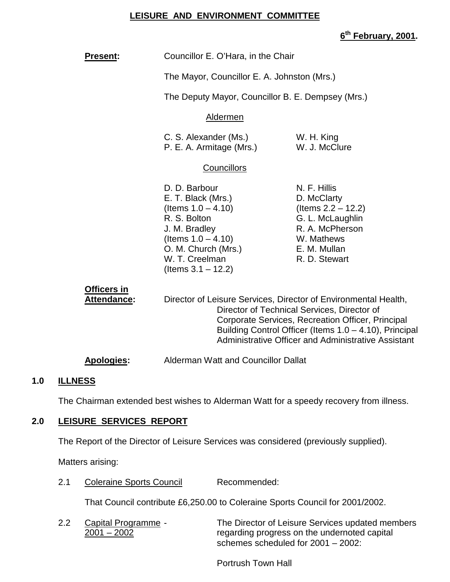## **LEISURE AND ENVIRONMENT COMMITTEE**

## **6th February, 2001.**

| <b>Present:</b>            | Councillor E. O'Hara, in the Chair                                                                                                                                                                                               |                                                                                                                                            |  |
|----------------------------|----------------------------------------------------------------------------------------------------------------------------------------------------------------------------------------------------------------------------------|--------------------------------------------------------------------------------------------------------------------------------------------|--|
|                            | The Mayor, Councillor E. A. Johnston (Mrs.)                                                                                                                                                                                      |                                                                                                                                            |  |
|                            | The Deputy Mayor, Councillor B. E. Dempsey (Mrs.)                                                                                                                                                                                |                                                                                                                                            |  |
|                            | Aldermen                                                                                                                                                                                                                         |                                                                                                                                            |  |
|                            | C. S. Alexander (Ms.)<br>P. E. A. Armitage (Mrs.)                                                                                                                                                                                | W. H. King<br>W. J. McClure                                                                                                                |  |
|                            | <b>Councillors</b>                                                                                                                                                                                                               |                                                                                                                                            |  |
|                            | D. D. Barbour<br>E. T. Black (Mrs.)<br>(Items $1.0 - 4.10$ )<br>R. S. Bolton<br>J. M. Bradley<br>(Items $1.0 - 4.10$ )<br>O. M. Church (Mrs.)<br>W. T. Creelman<br>(Items $3.1 - 12.2$ )                                         | N. F. Hillis<br>D. McClarty<br>(Items $2.2 - 12.2$ )<br>G. L. McLaughlin<br>R. A. McPherson<br>W. Mathews<br>E. M. Mullan<br>R. D. Stewart |  |
| Officers in<br>Attendance: | Director of Leisure Services, Director of Environmental Health,<br>Director of Technical Services, Director of<br>Corporate Services, Recreation Officer, Principal<br>Building Control Officer (Items $1.0 - 4.10$ ), Principal |                                                                                                                                            |  |

**Apologies:** Alderman Watt and Councillor Dallat

## **1.0 ILLNESS**

The Chairman extended best wishes to Alderman Watt for a speedy recovery from illness.

Administrative Officer and Administrative Assistant

## **2.0 LEISURE SERVICES REPORT**

The Report of the Director of Leisure Services was considered (previously supplied).

Matters arising:

2.1 Coleraine Sports Council Recommended:

That Council contribute £6,250.00 to Coleraine Sports Council for 2001/2002.

2.2 Capital Programme - The Director of Leisure Services updated members 2001 – 2002 regarding progress on the undernoted capital schemes scheduled for 2001 – 2002:

Portrush Town Hall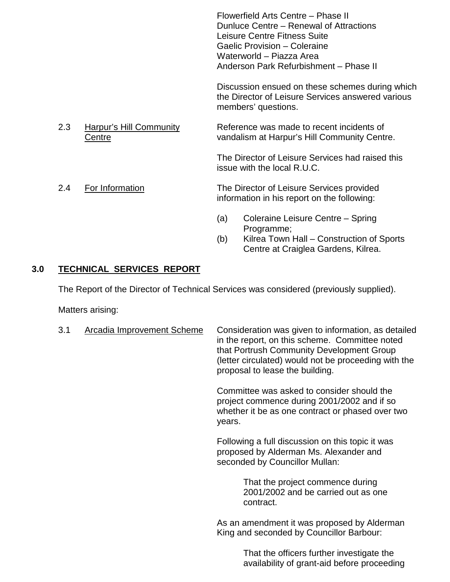Flowerfield Arts Centre – Phase II Dunluce Centre – Renewal of Attractions Leisure Centre Fitness Suite Gaelic Provision – Coleraine Waterworld – Piazza Area Anderson Park Refurbishment – Phase II

Discussion ensued on these schemes during which the Director of Leisure Services answered various members' questions.

2.3 Harpur's Hill Community Reference was made to recent incidents of Centre vandalism at Harpur's Hill Community Centre.

> The Director of Leisure Services had raised this issue with the local R.U.C.

- 2.4 For Information **The Director of Leisure Services provided** information in his report on the following:
	- (a) Coleraine Leisure Centre Spring Programme;
	- (b) Kilrea Town Hall Construction of Sports Centre at Craiglea Gardens, Kilrea.

## **3.0 TECHNICAL SERVICES REPORT**

The Report of the Director of Technical Services was considered (previously supplied).

Matters arising:

| 3.1 | Arcadia Improvement Scheme | Consideration was given to information, as detailed<br>in the report, on this scheme. Committee noted<br>that Portrush Community Development Group<br>(letter circulated) would not be proceeding with the<br>proposal to lease the building. |
|-----|----------------------------|-----------------------------------------------------------------------------------------------------------------------------------------------------------------------------------------------------------------------------------------------|
|     |                            | Committee was asked to consider should the<br>project commence during 2001/2002 and if so<br>whether it be as one contract or phased over two<br>years.                                                                                       |
|     |                            | Following a full discussion on this topic it was<br>proposed by Alderman Ms. Alexander and<br>seconded by Councillor Mullan:                                                                                                                  |
|     |                            | That the project commence during<br>2001/2002 and be carried out as one<br>contract.                                                                                                                                                          |
|     |                            | As an amendment it was proposed by Alderman<br>King and seconded by Councillor Barbour:                                                                                                                                                       |
|     |                            | That the officers further investigate the<br>availability of grant-aid before proceeding                                                                                                                                                      |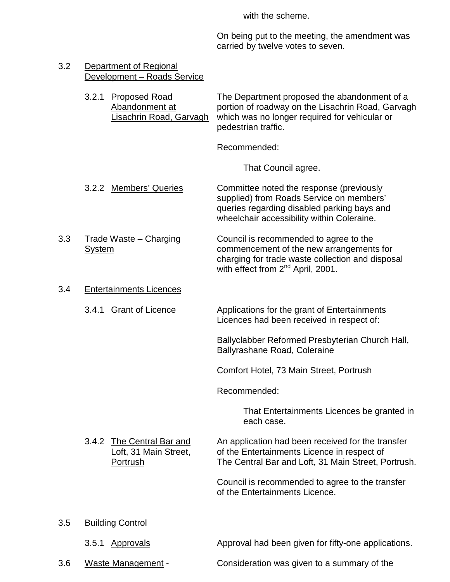with the scheme.

On being put to the meeting, the amendment was carried by twelve votes to seven.

| 3.2<br>Department of Regional<br>Development - Roads Service |                                                                            |                                                                                                                                                                                         |
|--------------------------------------------------------------|----------------------------------------------------------------------------|-----------------------------------------------------------------------------------------------------------------------------------------------------------------------------------------|
|                                                              | 3.2.1<br><b>Proposed Road</b><br>Abandonment at<br>Lisachrin Road, Garvagh | The Department proposed the abandonment of a<br>portion of roadway on the Lisachrin Road, Garvagh<br>which was no longer required for vehicular or<br>pedestrian traffic.               |
|                                                              |                                                                            | Recommended:                                                                                                                                                                            |
|                                                              |                                                                            | That Council agree.                                                                                                                                                                     |
|                                                              | 3.2.2 Members' Queries                                                     | Committee noted the response (previously<br>supplied) from Roads Service on members'<br>queries regarding disabled parking bays and<br>wheelchair accessibility within Coleraine.       |
| 3.3                                                          | <b>Trade Waste – Charging</b><br><b>System</b>                             | Council is recommended to agree to the<br>commencement of the new arrangements for<br>charging for trade waste collection and disposal<br>with effect from 2 <sup>nd</sup> April, 2001. |
| 3.4                                                          | <b>Entertainments Licences</b>                                             |                                                                                                                                                                                         |
|                                                              | <b>Grant of Licence</b><br>3.4.1                                           | Applications for the grant of Entertainments<br>Licences had been received in respect of:                                                                                               |
|                                                              |                                                                            | Ballyclabber Reformed Presbyterian Church Hall,<br>Ballyrashane Road, Coleraine                                                                                                         |
|                                                              |                                                                            | Comfort Hotel, 73 Main Street, Portrush                                                                                                                                                 |
|                                                              |                                                                            | Recommended:                                                                                                                                                                            |
|                                                              |                                                                            | That Entertainments Licences be granted in<br>each case.                                                                                                                                |
|                                                              | 3.4.2 The Central Bar and<br>Loft, 31 Main Street,<br><b>Portrush</b>      | An application had been received for the transfer<br>of the Entertainments Licence in respect of<br>The Central Bar and Loft, 31 Main Street, Portrush.                                 |
|                                                              |                                                                            | Council is recommended to agree to the transfer<br>of the Entertainments Licence.                                                                                                       |
| 3.5                                                          | <b>Building Control</b>                                                    |                                                                                                                                                                                         |
|                                                              | <b>Approvals</b><br>3.5.1                                                  | Approval had been given for fifty-one applications.                                                                                                                                     |
| 3.6                                                          | <b>Waste Management -</b>                                                  | Consideration was given to a summary of the                                                                                                                                             |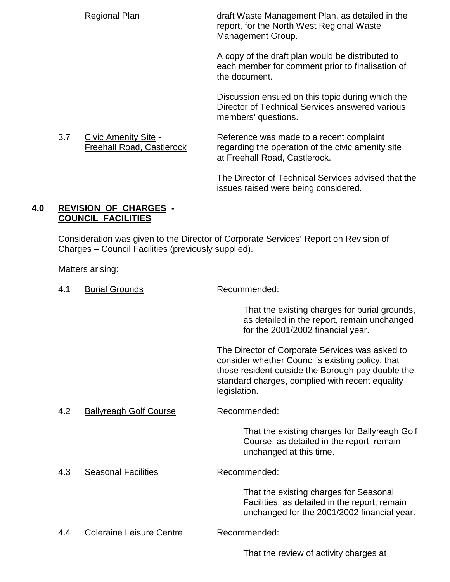Regional Plan draft Waste Management Plan, as detailed in the report, for the North West Regional Waste Management Group.

> A copy of the draft plan would be distributed to each member for comment prior to finalisation of the document.

> Discussion ensued on this topic during which the Director of Technical Services answered various members' questions.

3.7 Civic Amenity Site - Reference was made to a recent complaint Freehall Road, Castlerock regarding the operation of the civic amenity site at Freehall Road, Castlerock.

> The Director of Technical Services advised that the issues raised were being considered.

## **4.0 REVISION OF CHARGES - COUNCIL FACILITIES**

Consideration was given to the Director of Corporate Services' Report on Revision of Charges – Council Facilities (previously supplied).

Matters arising:

4.1 Burial Grounds Recommended:

That the existing charges for burial grounds, as detailed in the report, remain unchanged for the 2001/2002 financial year.

The Director of Corporate Services was asked to consider whether Council's existing policy, that those resident outside the Borough pay double the standard charges, complied with recent equality legislation.

4.2 Ballyreagh Golf Course Recommended:

That the existing charges for Ballyreagh Golf Course, as detailed in the report, remain unchanged at this time.

4.3 Seasonal Facilities Recommended:

That the existing charges for Seasonal Facilities, as detailed in the report, remain unchanged for the 2001/2002 financial year.

4.4 Coleraine Leisure Centre Recommended:

That the review of activity charges at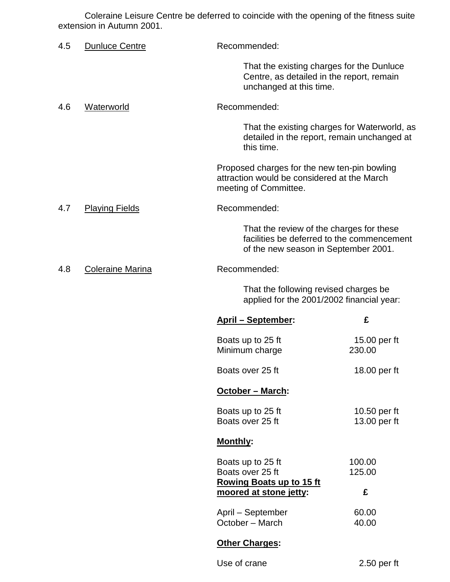Coleraine Leisure Centre be deferred to coincide with the opening of the fitness suite extension in Autumn 2001.

| 4.5 | <b>Dunluce Centre</b>   | Recommended:                                                                                                                   |                              |
|-----|-------------------------|--------------------------------------------------------------------------------------------------------------------------------|------------------------------|
|     |                         | That the existing charges for the Dunluce<br>Centre, as detailed in the report, remain<br>unchanged at this time.              |                              |
| 4.6 | Waterworld              | Recommended:                                                                                                                   |                              |
|     |                         | That the existing charges for Waterworld, as<br>detailed in the report, remain unchanged at<br>this time.                      |                              |
|     |                         | Proposed charges for the new ten-pin bowling<br>attraction would be considered at the March<br>meeting of Committee.           |                              |
| 4.7 | <b>Playing Fields</b>   | Recommended:                                                                                                                   |                              |
|     |                         | That the review of the charges for these<br>facilities be deferred to the commencement<br>of the new season in September 2001. |                              |
| 4.8 | <b>Coleraine Marina</b> | Recommended:                                                                                                                   |                              |
|     |                         | That the following revised charges be<br>applied for the 2001/2002 financial year:                                             |                              |
|     |                         | <b>April – September:</b>                                                                                                      | £                            |
|     |                         | Boats up to 25 ft<br>Minimum charge                                                                                            | 15.00 per ft<br>230.00       |
|     |                         | Boats over 25 ft                                                                                                               | 18.00 per ft                 |
|     |                         | October - March:                                                                                                               |                              |
|     |                         | Boats up to 25 ft<br>Boats over 25 ft                                                                                          | 10.50 per ft<br>13.00 per ft |
|     |                         | Monthly:                                                                                                                       |                              |
|     |                         | Boats up to 25 ft<br>Boats over 25 ft<br><b>Rowing Boats up to 15 ft</b>                                                       | 100.00<br>125.00             |
|     |                         | moored at stone jetty:                                                                                                         | £                            |
|     |                         | April - September<br>October - March                                                                                           | 60.00<br>40.00               |
|     |                         | <b>Other Charges:</b>                                                                                                          |                              |
|     |                         | Use of crane                                                                                                                   | $2.50$ per ft                |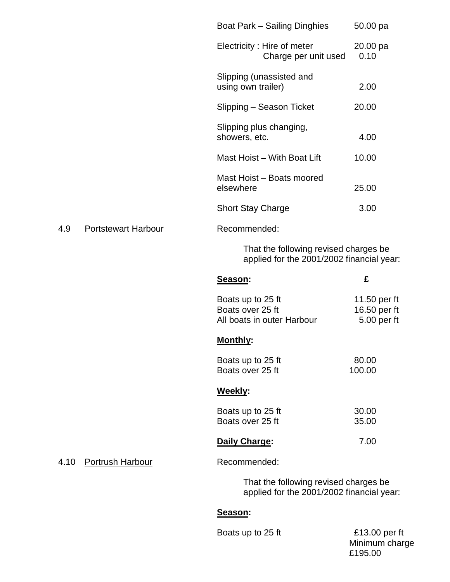|      |                            | Boat Park - Sailing Dinghies                                                       | 50.00 pa                                    |
|------|----------------------------|------------------------------------------------------------------------------------|---------------------------------------------|
|      |                            | Electricity: Hire of meter<br>Charge per unit used                                 | 20.00 pa<br>0.10                            |
|      |                            | Slipping (unassisted and<br>using own trailer)                                     | 2.00                                        |
|      |                            | Slipping - Season Ticket                                                           | 20.00                                       |
|      |                            | Slipping plus changing,<br>showers, etc.                                           | 4.00                                        |
|      |                            | Mast Hoist – With Boat Lift                                                        | 10.00                                       |
|      |                            | Mast Hoist - Boats moored<br>elsewhere                                             | 25.00                                       |
|      |                            | <b>Short Stay Charge</b>                                                           | 3.00                                        |
| 4.9  | <b>Portstewart Harbour</b> | Recommended:                                                                       |                                             |
|      |                            | That the following revised charges be<br>applied for the 2001/2002 financial year: |                                             |
|      |                            |                                                                                    |                                             |
|      |                            | Season:                                                                            | £                                           |
|      |                            | Boats up to 25 ft<br>Boats over 25 ft<br>All boats in outer Harbour                | 11.50 per ft<br>16.50 per ft<br>5.00 per ft |
|      |                            | <b>Monthly:</b>                                                                    |                                             |
|      |                            | Boats up to 25 ft<br>Boats over 25 ft                                              | 80.00<br>100.00                             |
|      |                            | Weekly:                                                                            |                                             |
|      |                            | Boats up to 25 ft<br>Boats over 25 ft                                              | 30.00<br>35.00                              |
|      |                            | Daily Charge:                                                                      | 7.00                                        |
| 4.10 | <b>Portrush Harbour</b>    | Recommended:                                                                       |                                             |
|      |                            | That the following revised charges be<br>applied for the 2001/2002 financial year: |                                             |

Boats up to 25 ft E13.00 per ft

Minimum charge £195.00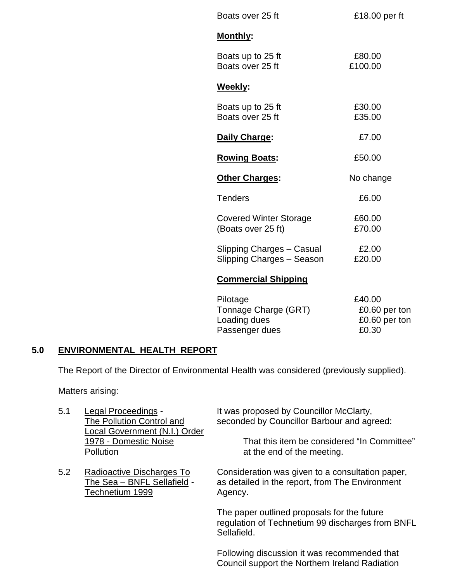| Boats over 25 ft                                       | £18.00 per ft     |
|--------------------------------------------------------|-------------------|
| Monthly:                                               |                   |
| Boats up to 25 ft<br>Boats over 25 ft                  | £80.00<br>£100.00 |
| <b>Weekly:</b>                                         |                   |
| Boats up to 25 ft<br>Boats over 25 ft                  | £30.00<br>£35.00  |
| Daily Charge:                                          | £7.00             |
| <b>Rowing Boats:</b>                                   | £50.00            |
| <b>Other Charges:</b>                                  | No change         |
| <b>Tenders</b>                                         | £6.00             |
| <b>Covered Winter Storage</b><br>(Boats over 25 ft)    | £60.00<br>£70.00  |
| Slipping Charges - Casual<br>Slipping Charges - Season | £2.00<br>£20.00   |
| <b>Commercial Shipping</b>                             |                   |
| Pilotage                                               |                   |

| Pilotage             | £40.00        |
|----------------------|---------------|
| Tonnage Charge (GRT) | £0.60 per ton |
| Loading dues         | £0.60 per ton |
| Passenger dues       | £0.30         |

## **5.0 ENVIRONMENTAL HEALTH REPORT**

The Report of the Director of Environmental Health was considered (previously supplied).

Matters arising:

- Local Government (N.I.) Order Pollution **Pollution** at the end of the meeting.
- Technetium 1999 Agency.

5.1 Legal Proceedings - It was proposed by Councillor McClarty,<br>The Pollution Control and Seconded by Councillor Barbour and age seconded by Councillor Barbour and agreed:

1978 - Domestic Noise That this item be considered "In Committee"

5.2 Radioactive Discharges To Consideration was given to a consultation paper,<br>The Sea – BNFL Sellafield - as detailed in the report, from The Environment as detailed in the report, from The Environment

> The paper outlined proposals for the future regulation of Technetium 99 discharges from BNFL Sellafield.

Following discussion it was recommended that Council support the Northern Ireland Radiation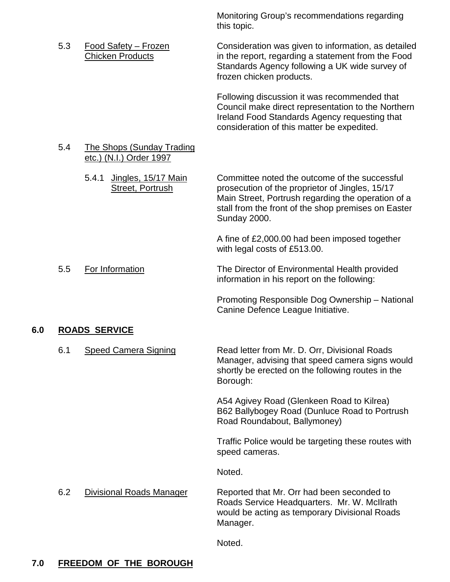Monitoring Group's recommendations regarding this topic.

5.3 Food Safety – Frozen Consideration was given to information, as detailed Chicken Products in the report, regarding a statement from the Food Standards Agency following a UK wide survey of frozen chicken products.

> Following discussion it was recommended that Council make direct representation to the Northern Ireland Food Standards Agency requesting that consideration of this matter be expedited.

## 5.4 The Shops (Sunday Trading etc.) (N.I.) Order 1997

5.4.1 Jingles, 15/17 Main Committee noted the outcome of the successful Street, Portrush prosecution of the proprietor of Jingles, 15/17 Main Street, Portrush regarding the operation of a stall from the front of the shop premises on Easter

Sunday 2000.

A fine of £2,000.00 had been imposed together with legal costs of £513.00.

5.5 For Information The Director of Environmental Health provided information in his report on the following:

> Promoting Responsible Dog Ownership – National Canine Defence League Initiative.

# **6.0 ROADS SERVICE**

| 6.1<br><b>Speed Camera Signing</b> |  |
|------------------------------------|--|
|------------------------------------|--|

6.1 Speed Camera Signing Read letter from Mr. D. Orr, Divisional Roads Manager, advising that speed camera signs would shortly be erected on the following routes in the Borough:

> A54 Agivey Road (Glenkeen Road to Kilrea) B62 Ballybogey Road (Dunluce Road to Portrush Road Roundabout, Ballymoney)

Traffic Police would be targeting these routes with speed cameras.

Noted.

6.2 Divisional Roads Manager Reported that Mr. Orr had been seconded to Roads Service Headquarters. Mr. W. McIlrath would be acting as temporary Divisional Roads Manager.

Noted.

# **7.0 FREEDOM OF THE BOROUGH**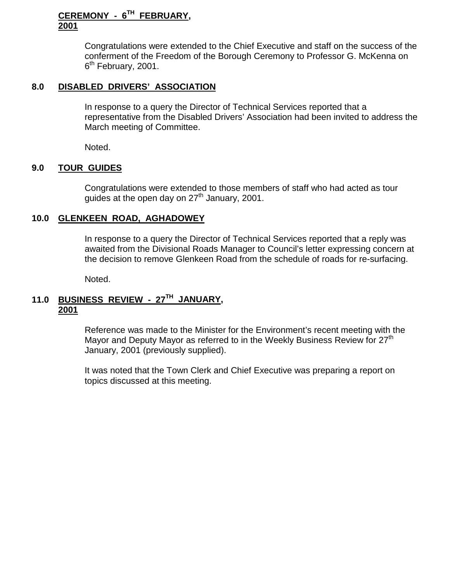## **CEREMONY - 6TH FEBRUARY, 2001**

Congratulations were extended to the Chief Executive and staff on the success of the conferment of the Freedom of the Borough Ceremony to Professor G. McKenna on  $6<sup>th</sup>$  February, 2001.

## **8.0 DISABLED DRIVERS' ASSOCIATION**

In response to a query the Director of Technical Services reported that a representative from the Disabled Drivers' Association had been invited to address the March meeting of Committee.

Noted.

#### **9.0 TOUR GUIDES**

Congratulations were extended to those members of staff who had acted as tour guides at the open day on  $27<sup>th</sup>$  January, 2001.

#### **10.0 GLENKEEN ROAD, AGHADOWEY**

In response to a query the Director of Technical Services reported that a reply was awaited from the Divisional Roads Manager to Council's letter expressing concern at the decision to remove Glenkeen Road from the schedule of roads for re-surfacing.

Noted.

## **11.0 BUSINESS REVIEW - 27TH JANUARY, 2001**

Reference was made to the Minister for the Environment's recent meeting with the Mayor and Deputy Mayor as referred to in the Weekly Business Review for 27<sup>th</sup> January, 2001 (previously supplied).

It was noted that the Town Clerk and Chief Executive was preparing a report on topics discussed at this meeting.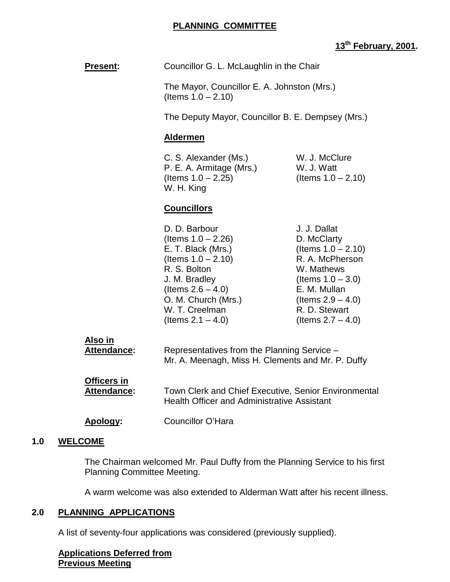## **PLANNING COMMITTEE**

## **13th February, 2001.**

| <b>Present:</b> | Councillor G. L. McLaughlin in the Chair |
|-----------------|------------------------------------------|
|-----------------|------------------------------------------|

The Mayor, Councillor E. A. Johnston (Mrs.) (Items  $1.0 - 2.10$ )

The Deputy Mayor, Councillor B. E. Dempsey (Mrs.)

#### **Aldermen**

C. S. Alexander (Ms.) W. J. McClure P. E. A. Armitage (Mrs.) W. J. Watt  $($ ltems  $1.0 - 2.25)$   $($ ltems  $1.0 - 2.10)$ W. H. King

## **Councillors**

| J. J. Dallat          |
|-----------------------|
| D. McClarty           |
| (Items $1.0 - 2.10$ ) |
| R. A. McPherson       |
| W. Mathews            |
| (Items $1.0 - 3.0$ )  |
| E. M. Mullan          |
| (Items $2.9 - 4.0$ )  |
| R. D. Stewart         |
| (Items $2.7 - 4.0$ )  |
|                       |

| Also in     |                                                   |
|-------------|---------------------------------------------------|
| Attendance: | Representatives from the Planning Service -       |
|             | Mr. A. Meenagh, Miss H. Clements and Mr. P. Duffy |

| <b>Officers in</b> |                                                                                                     |
|--------------------|-----------------------------------------------------------------------------------------------------|
| <b>Attendance:</b> | Town Clerk and Chief Executive, Senior Environmental<br>Health Officer and Administrative Assistant |

**Apology:** Councillor O'Hara

## **1.0 WELCOME**

The Chairman welcomed Mr. Paul Duffy from the Planning Service to his first Planning Committee Meeting.

A warm welcome was also extended to Alderman Watt after his recent illness.

## **2.0 PLANNING APPLICATIONS**

A list of seventy-four applications was considered (previously supplied).

#### **Applications Deferred from Previous Meeting**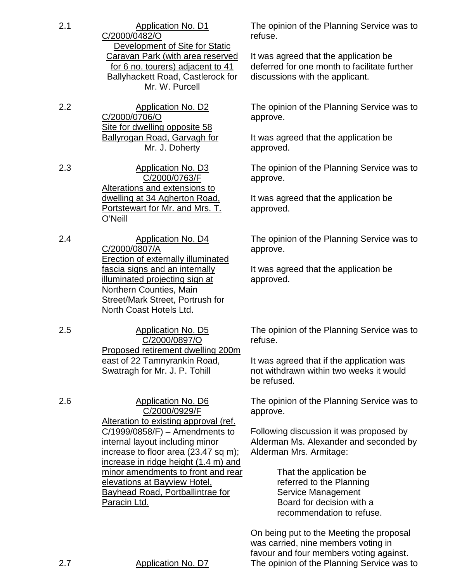- 2.1 Application No. D1 C/2000/0482/O Development of Site for Static Caravan Park (with area reserved for 6 no. tourers) adjacent to 41 Ballyhackett Road, Castlerock for Mr. W. Purcell
- 2.2 Application No. D2 C/2000/0706/O Site for dwelling opposite 58 Ballyrogan Road, Garvagh for Mr. J. Doherty
- 2.3 Application No. D3 C/2000/0763/F Alterations and extensions to dwelling at 34 Agherton Road, Portstewart for Mr. and Mrs. T. O'Neill
- 2.4 Application No. D4 C/2000/0807/A Erection of externally illuminated fascia signs and an internally illuminated projecting sign at Northern Counties, Main Street/Mark Street, Portrush for North Coast Hotels Ltd.
- 2.5 Application No. D5 C/2000/0897/O Proposed retirement dwelling 200m east of 22 Tamnyrankin Road, Swatragh for Mr. J. P. Tohill

2.6 Application No. D6 C/2000/0929/F Alteration to existing approval (ref. C/1999/0858/F) – Amendments to internal layout including minor increase to floor area (23.47 sq m); increase in ridge height (1.4 m) and minor amendments to front and rear elevations at Bayview Hotel, Bayhead Road, Portballintrae for Paracin Ltd.

The opinion of the Planning Service was to refuse.

It was agreed that the application be deferred for one month to facilitate further discussions with the applicant.

The opinion of the Planning Service was to approve.

It was agreed that the application be approved.

The opinion of the Planning Service was to approve.

It was agreed that the application be approved.

The opinion of the Planning Service was to approve.

It was agreed that the application be approved.

The opinion of the Planning Service was to refuse.

It was agreed that if the application was not withdrawn within two weeks it would be refused.

The opinion of the Planning Service was to approve.

Following discussion it was proposed by Alderman Ms. Alexander and seconded by Alderman Mrs. Armitage:

> That the application be referred to the Planning Service Management Board for decision with a recommendation to refuse.

On being put to the Meeting the proposal was carried, nine members voting in favour and four members voting against. 2.7 Application No. D7 The opinion of the Planning Service was to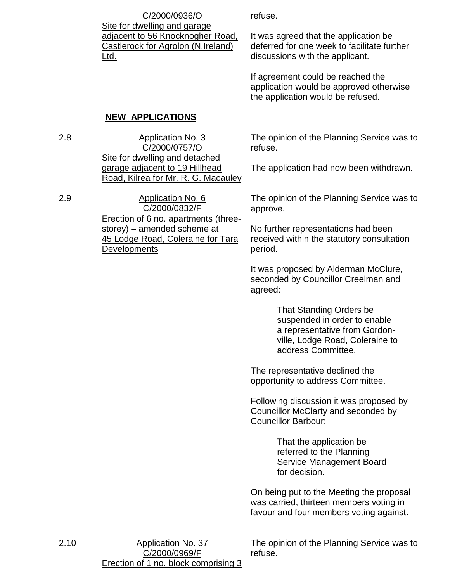C/2000/0936/O Site for dwelling and garage adjacent to 56 Knocknogher Road, Castlerock for Agrolon (N.Ireland) Ltd.

refuse.

It was agreed that the application be deferred for one week to facilitate further discussions with the applicant.

If agreement could be reached the application would be approved otherwise the application would be refused.

## **NEW APPLICATIONS**

2.8 Application No. 3 C/2000/0757/O Site for dwelling and detached garage adjacent to 19 Hillhead Road, Kilrea for Mr. R. G. Macauley

2.9 Application No. 6 C/2000/0832/F Erection of 6 no. apartments (threestorey) – amended scheme at 45 Lodge Road, Coleraine for Tara **Developments** 

The opinion of the Planning Service was to refuse.

The application had now been withdrawn.

The opinion of the Planning Service was to approve.

No further representations had been received within the statutory consultation period.

It was proposed by Alderman McClure, seconded by Councillor Creelman and agreed:

> That Standing Orders be suspended in order to enable a representative from Gordonville, Lodge Road, Coleraine to address Committee.

The representative declined the opportunity to address Committee.

Following discussion it was proposed by Councillor McClarty and seconded by Councillor Barbour:

> That the application be referred to the Planning Service Management Board for decision.

On being put to the Meeting the proposal was carried, thirteen members voting in favour and four members voting against.

2.10 Application No. 37 C/2000/0969/F Erection of 1 no. block comprising 3

The opinion of the Planning Service was to refuse.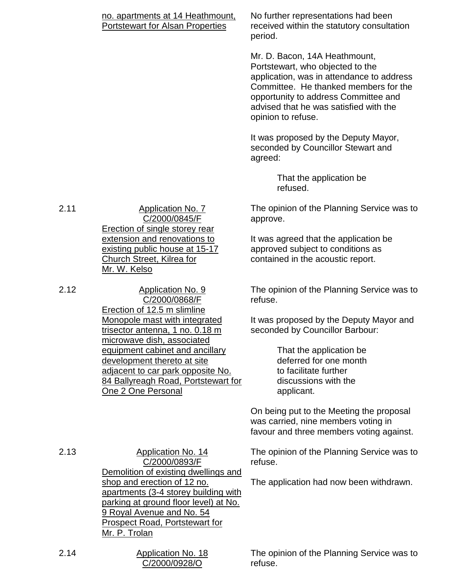| no. apartments at 14 Heathmount,<br><b>Portstewart for Alsan Properties</b>                                                                                                                                                                        | No further representations had been<br>received within the statutory consultation<br>period.                                                                                                                                                                    |
|----------------------------------------------------------------------------------------------------------------------------------------------------------------------------------------------------------------------------------------------------|-----------------------------------------------------------------------------------------------------------------------------------------------------------------------------------------------------------------------------------------------------------------|
|                                                                                                                                                                                                                                                    | Mr. D. Bacon, 14A Heathmount,<br>Portstewart, who objected to the<br>application, was in attendance to address<br>Committee. He thanked members for the<br>opportunity to address Committee and<br>advised that he was satisfied with the<br>opinion to refuse. |
|                                                                                                                                                                                                                                                    | It was proposed by the Deputy Mayor,<br>seconded by Councillor Stewart and<br>agreed:                                                                                                                                                                           |
|                                                                                                                                                                                                                                                    | That the application be<br>refused.                                                                                                                                                                                                                             |
| <b>Application No. 7</b><br>C/2000/0845/F                                                                                                                                                                                                          | The opinion of the Planning Service was to<br>approve.                                                                                                                                                                                                          |
| <b>Erection of single storey rear</b><br>extension and renovations to<br>existing public house at 15-17<br>Church Street, Kilrea for<br>Mr. W. Kelso                                                                                               | It was agreed that the application be<br>approved subject to conditions as<br>contained in the acoustic report.                                                                                                                                                 |
| <b>Application No. 9</b><br>C/2000/0868/F<br>Erection of 12.5 m slimline                                                                                                                                                                           | The opinion of the Planning Service was to<br>refuse.                                                                                                                                                                                                           |
| Monopole mast with integrated<br>trisector antenna, 1 no. 0.18 m<br>microwave dish, associated                                                                                                                                                     | It was proposed by the Deputy Mayor and<br>seconded by Councillor Barbour:                                                                                                                                                                                      |
| equipment cabinet and ancillary<br>development thereto at site<br>adjacent to car park opposite No.<br>84 Ballyreagh Road, Portstewart for<br>One 2 One Personal                                                                                   | That the application be<br>deferred for one month<br>to facilitate further<br>discussions with the<br>applicant.                                                                                                                                                |
|                                                                                                                                                                                                                                                    | On being put to the Meeting the proposal<br>was carried, nine members voting in<br>favour and three members voting against.                                                                                                                                     |
| <b>Application No. 14</b><br>C/2000/0893/F                                                                                                                                                                                                         | The opinion of the Planning Service was to<br>refuse.                                                                                                                                                                                                           |
| Demolition of existing dwellings and<br>shop and erection of 12 no.<br>apartments (3-4 storey building with<br><u>parking at ground floor level) at No.</u><br>9 Royal Avenue and No. 54<br><b>Prospect Road, Portstewart for</b><br>Mr. P. Trolan | The application had now been withdrawn.                                                                                                                                                                                                                         |
| <b>Application No. 18</b><br>C/2000/0928/O                                                                                                                                                                                                         | The opinion of the Planning Service was to<br>refuse.                                                                                                                                                                                                           |

 $2.14$ 

 $2.13$ 

 $2.11$ 

 $2.12$ 

C/2000/0928/O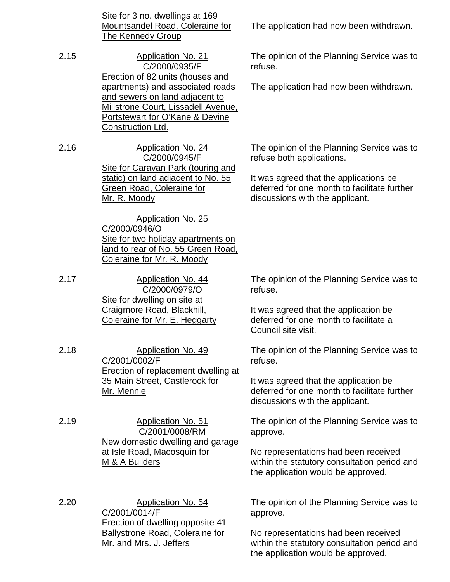Site for 3 no. dwellings at 169 Mountsandel Road, Coleraine for The Kennedy Group

2.15 Application No. 21 C/2000/0935/F Erection of 82 units (houses and apartments) and associated roads and sewers on land adjacent to Millstrone Court, Lissadell Avenue, Portstewart for O'Kane & Devine Construction Ltd.

2.16 Application No. 24 C/2000/0945/F Site for Caravan Park (touring and static) on land adjacent to No. 55 Green Road, Coleraine for Mr. R. Moody

> Application No. 25 C/2000/0946/O Site for two holiday apartments on land to rear of No. 55 Green Road, Coleraine for Mr. R. Moody

2.17 Application No. 44 C/2000/0979/O Site for dwelling on site at Craigmore Road, Blackhill, Coleraine for Mr. E. Heggarty

2.18 Application No. 49 C/2001/0002/F Erection of replacement dwelling at 35 Main Street, Castlerock for Mr. Mennie

2.19 Application No. 51 C/2001/0008/RM New domestic dwelling and garage at Isle Road, Macosquin for M & A Builders

2.20 Application No. 54 C/2001/0014/F Erection of dwelling opposite 41 Ballystrone Road, Coleraine for Mr. and Mrs. J. Jeffers

The application had now been withdrawn.

The opinion of the Planning Service was to refuse.

The application had now been withdrawn.

The opinion of the Planning Service was to refuse both applications.

It was agreed that the applications be deferred for one month to facilitate further discussions with the applicant.

The opinion of the Planning Service was to refuse.

It was agreed that the application be deferred for one month to facilitate a Council site visit.

The opinion of the Planning Service was to refuse.

It was agreed that the application be deferred for one month to facilitate further discussions with the applicant.

The opinion of the Planning Service was to approve.

No representations had been received within the statutory consultation period and the application would be approved.

The opinion of the Planning Service was to approve.

No representations had been received within the statutory consultation period and the application would be approved.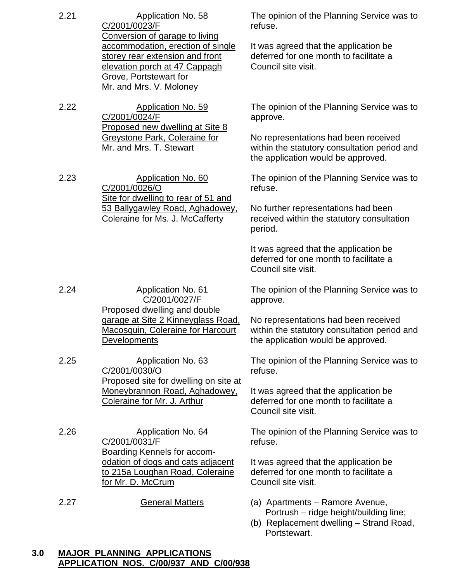| 2.21 | Application No. 58<br>C/2001/0023/F                                                                                                                                                                 | The opinion of the Planning Service was to<br>refuse.                                                                      |
|------|-----------------------------------------------------------------------------------------------------------------------------------------------------------------------------------------------------|----------------------------------------------------------------------------------------------------------------------------|
|      | Conversion of garage to living<br>accommodation, erection of single<br>storey rear extension and front<br>elevation porch at 47 Cappagh<br><b>Grove, Portstewart for</b><br>Mr. and Mrs. V. Moloney | It was agreed that the application be<br>deferred for one month to facilitate a<br>Council site visit.                     |
| 2.22 | Application No. 59<br>C/2001/0024/F                                                                                                                                                                 | The opinion of the Planning Service was to<br>approve.                                                                     |
|      | Proposed new dwelling at Site 8<br><b>Greystone Park, Coleraine for</b><br>Mr. and Mrs. T. Stewart                                                                                                  | No representations had been received<br>within the statutory consultation period and<br>the application would be approved. |
| 2.23 | Application No. 60<br>C/2001/0026/O                                                                                                                                                                 | The opinion of the Planning Service was to<br>refuse.                                                                      |
|      | Site for dwelling to rear of 51 and<br>53 Ballygawley Road, Aghadowey,<br>Coleraine for Ms. J. McCafferty                                                                                           | No further representations had been<br>received within the statutory consultation<br>period.                               |
|      |                                                                                                                                                                                                     | It was agreed that the application be<br>deferred for one month to facilitate a<br>Council site visit.                     |
| 2.24 | <b>Application No. 61</b><br>C/2001/0027/F<br>Proposed dwelling and double                                                                                                                          | The opinion of the Planning Service was to<br>approve.                                                                     |
|      | garage at Site 2 Kinneyglass Road,<br><b>Macosquin, Coleraine for Harcourt</b><br>Developments                                                                                                      | No representations had been received<br>within the statutory consultation period and<br>the application would be approved. |
| 2.25 | <b>Application No. 63</b><br>C/2001/0030/O<br>Proposed site for dwelling on site at                                                                                                                 | The opinion of the Planning Service was to<br>refuse.                                                                      |
|      | Moneybrannon Road, Aghadowey,<br>Coleraine for Mr. J. Arthur                                                                                                                                        | It was agreed that the application be<br>deferred for one month to facilitate a<br>Council site visit.                     |
| 2.26 | <b>Application No. 64</b><br>C/2001/0031/F                                                                                                                                                          | The opinion of the Planning Service was to<br>refuse.                                                                      |
|      | <b>Boarding Kennels for accom-</b><br>odation of dogs and cats adjacent<br>to 215a Loughan Road, Coleraine<br>for Mr. D. McCrum                                                                     | It was agreed that the application be<br>deferred for one month to facilitate a<br>Council site visit.                     |
| 2.27 | <b>General Matters</b>                                                                                                                                                                              | (a) Apartments – Ramore Avenue,<br>Portrush - ridge height/building line;<br>(b) Replacement dwelling - Strand Road,       |

Portstewart.

#### **3.0 MAJOR PLANNING APPLICATIONS APPLICATION NOS. C/00/937 AND C/00/938**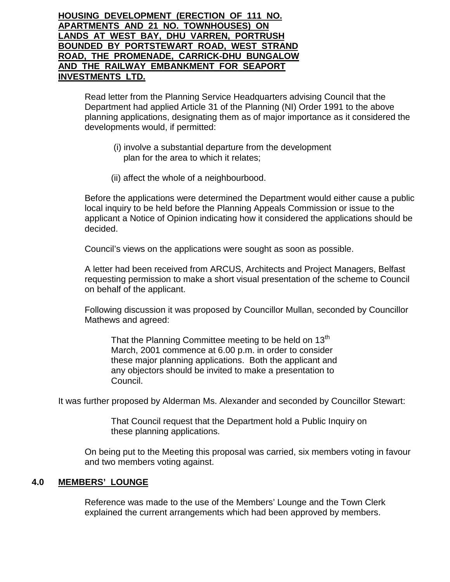**HOUSING DEVELOPMENT (ERECTION OF 111 NO. APARTMENTS AND 21 NO. TOWNHOUSES) ON LANDS AT WEST BAY, DHU VARREN, PORTRUSH BOUNDED BY PORTSTEWART ROAD, WEST STRAND ROAD, THE PROMENADE, CARRICK-DHU BUNGALOW AND THE RAILWAY EMBANKMENT FOR SEAPORT INVESTMENTS LTD.**

> Read letter from the Planning Service Headquarters advising Council that the Department had applied Article 31 of the Planning (NI) Order 1991 to the above planning applications, designating them as of major importance as it considered the developments would, if permitted:

- (i) involve a substantial departure from the development plan for the area to which it relates;
- (ii) affect the whole of a neighbourbood.

Before the applications were determined the Department would either cause a public local inquiry to be held before the Planning Appeals Commission or issue to the applicant a Notice of Opinion indicating how it considered the applications should be decided.

Council's views on the applications were sought as soon as possible.

A letter had been received from ARCUS, Architects and Project Managers, Belfast requesting permission to make a short visual presentation of the scheme to Council on behalf of the applicant.

Following discussion it was proposed by Councillor Mullan, seconded by Councillor Mathews and agreed:

That the Planning Committee meeting to be held on  $13<sup>th</sup>$ March, 2001 commence at 6.00 p.m. in order to consider these major planning applications. Both the applicant and any objectors should be invited to make a presentation to Council.

It was further proposed by Alderman Ms. Alexander and seconded by Councillor Stewart:

That Council request that the Department hold a Public Inquiry on these planning applications.

On being put to the Meeting this proposal was carried, six members voting in favour and two members voting against.

## **4.0 MEMBERS' LOUNGE**

Reference was made to the use of the Members' Lounge and the Town Clerk explained the current arrangements which had been approved by members.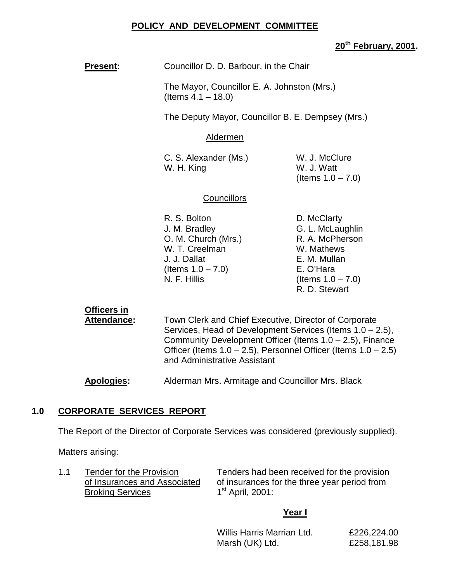## **POLICY AND DEVELOPMENT COMMITTEE**

## **20th February, 2001.**

**Present:** Councillor D. D. Barbour, in the Chair

The Mayor, Councillor E. A. Johnston (Mrs.) (Items 4.1 – 18.0)

The Deputy Mayor, Councillor B. E. Dempsey (Mrs.)

#### Aldermen

C. S. Alexander (Ms.) W. J. McClure W. H. King W. J. Watt

(Items 1.0 – 7.0)

#### **Councillors**

- R. S. Bolton D. McClarty J. M. Bradley G. L. McLaughlin O. M. Church (Mrs.) R. A. McPherson W. T. Creelman W. Mathews J. J. Dallat E. M. Mullan  $($ ltems  $1.0 - 7.0)$  E. O'Hara  $N. F. Hillis$  (Items  $1.0 - 7.0$ )
- R. D. Stewart

## **Officers in**

**Attendance:** Town Clerk and Chief Executive, Director of Corporate Services, Head of Development Services (Items 1.0 – 2.5), Community Development Officer (Items 1.0 – 2.5), Finance Officer (Items 1.0 – 2.5), Personnel Officer (Items 1.0 – 2.5) and Administrative Assistant

**Apologies:** Alderman Mrs. Armitage and Councillor Mrs. Black

## **1.0 CORPORATE SERVICES REPORT**

The Report of the Director of Corporate Services was considered (previously supplied).

Matters arising:

Broking Services 1<sup>st</sup> April, 2001:

1.1 Tender for the Provision Tenders had been received for the provision of Insurances and Associated of insurances for the three year period from

#### **Year I**

Willis Harris Marrian Ltd. £226,224.00 Marsh (UK) Ltd. £258,181.98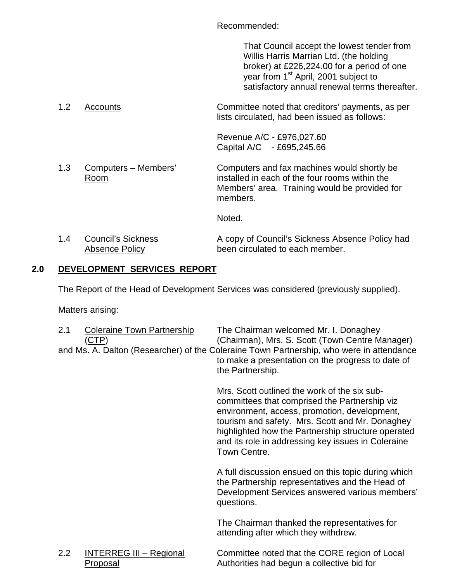Recommended:

That Council accept the lowest tender from Willis Harris Marrian Ltd. (the holding broker) at £226,224.00 for a period of one year from 1<sup>st</sup> April, 2001 subject to satisfactory annual renewal terms thereafter.

1.2 Accounts Committee noted that creditors' payments, as per lists circulated, had been issued as follows:

> Revenue A/C - £976,027.60 Capital A/C - £695,245.66

1.3 Computers – Members' Computers and fax machines would shortly be Room installed in each of the four rooms within the Members' area. Training would be provided for members.

Noted.

| 1.4 | <b>Council's Sickness</b> | A copy of Council's Sickness Absence Policy had |
|-----|---------------------------|-------------------------------------------------|
|     | Absence Policy            | been circulated to each member.                 |

## **2.0 DEVELOPMENT SERVICES REPORT**

The Report of the Head of Development Services was considered (previously supplied).

Matters arising:

| 2.1 | <b>Coleraine Town Partnership</b><br>(CTP) | The Chairman welcomed Mr. I. Donaghey<br>(Chairman), Mrs. S. Scott (Town Centre Manager)<br>and Ms. A. Dalton (Researcher) of the Coleraine Town Partnership, who were in attendance<br>to make a presentation on the progress to date of<br>the Partnership.                                                                |
|-----|--------------------------------------------|------------------------------------------------------------------------------------------------------------------------------------------------------------------------------------------------------------------------------------------------------------------------------------------------------------------------------|
|     |                                            | Mrs. Scott outlined the work of the six sub-<br>committees that comprised the Partnership viz<br>environment, access, promotion, development,<br>tourism and safety. Mrs. Scott and Mr. Donaghey<br>highlighted how the Partnership structure operated<br>and its role in addressing key issues in Coleraine<br>Town Centre. |
|     |                                            | A full discussion ensued on this topic during which<br>the Partnership representatives and the Head of<br>Development Services answered various members'<br>questions.                                                                                                                                                       |
|     |                                            | The Chairman thanked the representatives for<br>attending after which they withdrew.                                                                                                                                                                                                                                         |
| 2.2 | <b>INTERREG III - Regional</b><br>Proposal | Committee noted that the CORE region of Local<br>Authorities had begun a collective bid for                                                                                                                                                                                                                                  |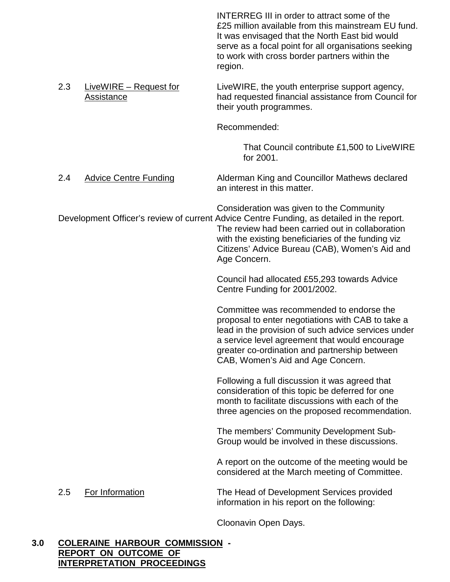INTERREG III in order to attract some of the £25 million available from this mainstream EU fund. It was envisaged that the North East bid would serve as a focal point for all organisations seeking to work with cross border partners within the region.

2.3 LiveWIRE – Request for LiveWIRE, the youth enterprise support agency, Assistance **had requested financial assistance from Council for** their youth programmes.

Recommended:

That Council contribute £1,500 to LiveWIRE for 2001.

2.4 Advice Centre Funding Alderman King and Councillor Mathews declared an interest in this matter.

Consideration was given to the Community Development Officer's review of current Advice Centre Funding, as detailed in the report. The review had been carried out in collaboration with the existing beneficiaries of the funding viz Citizens' Advice Bureau (CAB), Women's Aid and Age Concern.

> Council had allocated £55,293 towards Advice Centre Funding for 2001/2002.

Committee was recommended to endorse the proposal to enter negotiations with CAB to take a lead in the provision of such advice services under a service level agreement that would encourage greater co-ordination and partnership between CAB, Women's Aid and Age Concern.

Following a full discussion it was agreed that consideration of this topic be deferred for one month to facilitate discussions with each of the three agencies on the proposed recommendation.

The members' Community Development Sub-Group would be involved in these discussions.

A report on the outcome of the meeting would be considered at the March meeting of Committee.

2.5 For Information The Head of Development Services provided information in his report on the following:

Cloonavin Open Days.

#### **3.0 COLERAINE HARBOUR COMMISSION - REPORT ON OUTCOME OF INTERPRETATION PROCEEDINGS**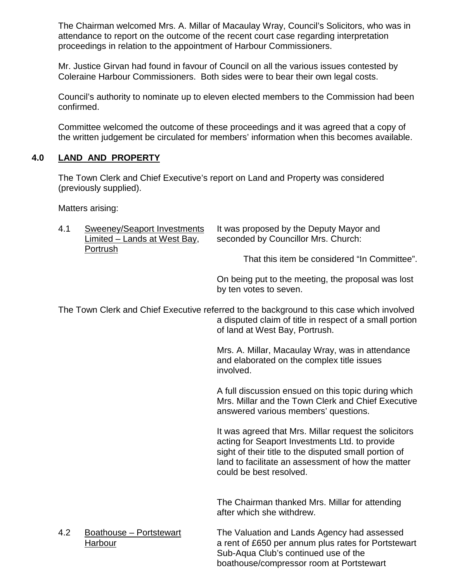The Chairman welcomed Mrs. A. Millar of Macaulay Wray, Council's Solicitors, who was in attendance to report on the outcome of the recent court case regarding interpretation proceedings in relation to the appointment of Harbour Commissioners.

Mr. Justice Girvan had found in favour of Council on all the various issues contested by Coleraine Harbour Commissioners. Both sides were to bear their own legal costs.

Council's authority to nominate up to eleven elected members to the Commission had been confirmed.

Committee welcomed the outcome of these proceedings and it was agreed that a copy of the written judgement be circulated for members' information when this becomes available.

## **4.0 LAND AND PROPERTY**

The Town Clerk and Chief Executive's report on Land and Property was considered (previously supplied).

Matters arising:

| 4.1 | Sweeney/Seaport Investments<br>Limited – Lands at West Bay, | It was proposed by the Deputy Mayor and<br>seconded by Councillor Mrs. Church: |
|-----|-------------------------------------------------------------|--------------------------------------------------------------------------------|
|     | Portrush                                                    | That this item be considered "In Committee"                                    |

On being put to the meeting, the proposal was lost by ten votes to seven.

The Town Clerk and Chief Executive referred to the background to this case which involved a disputed claim of title in respect of a small portion of land at West Bay, Portrush.

> Mrs. A. Millar, Macaulay Wray, was in attendance and elaborated on the complex title issues involved.

A full discussion ensued on this topic during which Mrs. Millar and the Town Clerk and Chief Executive answered various members' questions.

It was agreed that Mrs. Millar request the solicitors acting for Seaport Investments Ltd. to provide sight of their title to the disputed small portion of land to facilitate an assessment of how the matter could be best resolved.

The Chairman thanked Mrs. Millar for attending after which she withdrew.

4.2 Boathouse – Portstewart The Valuation and Lands Agency had assessed Harbour **EXEC 2018** a rent of £650 per annum plus rates for Portstewart Sub-Aqua Club's continued use of the boathouse/compressor room at Portstewart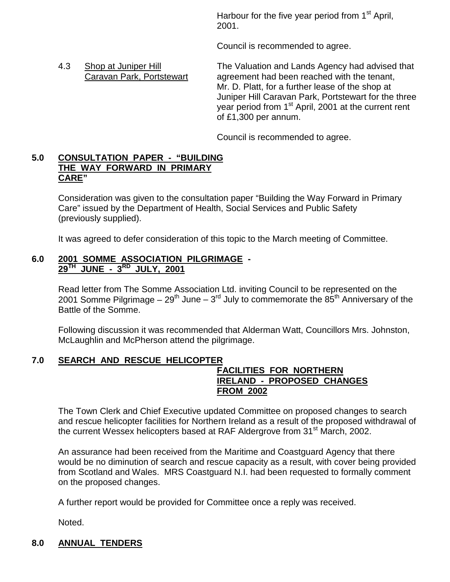Harbour for the five year period from  $1<sup>st</sup>$  April, 2001.

Council is recommended to agree.

4.3 Shop at Juniper Hill The Valuation and Lands Agency had advised that Caravan Park, Portstewart agreement had been reached with the tenant, Mr. D. Platt, for a further lease of the shop at Juniper Hill Caravan Park, Portstewart for the three year period from 1<sup>st</sup> April, 2001 at the current rent of £1,300 per annum.

Council is recommended to agree.

## **5.0 CONSULTATION PAPER - "BUILDING THE WAY FORWARD IN PRIMARY CARE"**

Consideration was given to the consultation paper "Building the Way Forward in Primary Care" issued by the Department of Health, Social Services and Public Safety (previously supplied).

It was agreed to defer consideration of this topic to the March meeting of Committee.

## **6.0 2001 SOMME ASSOCIATION PILGRIMAGE - 29TH JUNE - 3RD JULY, 2001**

Read letter from The Somme Association Ltd. inviting Council to be represented on the 2001 Somme Pilgrimage –  $29^{th}$  June –  $3^{rd}$  July to commemorate the  $85^{th}$  Anniversary of the Battle of the Somme.

Following discussion it was recommended that Alderman Watt, Councillors Mrs. Johnston, McLaughlin and McPherson attend the pilgrimage.

## **7.0 SEARCH AND RESCUE HELICOPTER**

## **FACILITIES FOR NORTHERN IRELAND - PROPOSED CHANGES FROM 2002**

The Town Clerk and Chief Executive updated Committee on proposed changes to search and rescue helicopter facilities for Northern Ireland as a result of the proposed withdrawal of the current Wessex helicopters based at RAF Aldergrove from 31<sup>st</sup> March, 2002.

An assurance had been received from the Maritime and Coastguard Agency that there would be no diminution of search and rescue capacity as a result, with cover being provided from Scotland and Wales. MRS Coastguard N.I. had been requested to formally comment on the proposed changes.

A further report would be provided for Committee once a reply was received.

Noted.

## **8.0 ANNUAL TENDERS**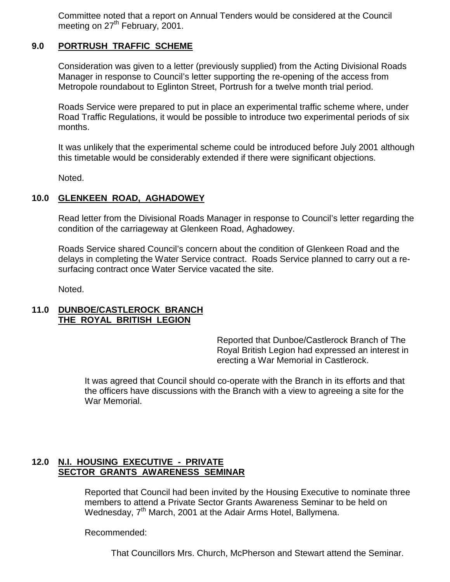Committee noted that a report on Annual Tenders would be considered at the Council meeting on 27<sup>th</sup> February, 2001.

## **9.0 PORTRUSH TRAFFIC SCHEME**

Consideration was given to a letter (previously supplied) from the Acting Divisional Roads Manager in response to Council's letter supporting the re-opening of the access from Metropole roundabout to Eglinton Street, Portrush for a twelve month trial period.

Roads Service were prepared to put in place an experimental traffic scheme where, under Road Traffic Regulations, it would be possible to introduce two experimental periods of six months.

It was unlikely that the experimental scheme could be introduced before July 2001 although this timetable would be considerably extended if there were significant objections.

Noted.

## **10.0 GLENKEEN ROAD, AGHADOWEY**

Read letter from the Divisional Roads Manager in response to Council's letter regarding the condition of the carriageway at Glenkeen Road, Aghadowey.

Roads Service shared Council's concern about the condition of Glenkeen Road and the delays in completing the Water Service contract. Roads Service planned to carry out a resurfacing contract once Water Service vacated the site.

Noted.

#### **11.0 DUNBOE/CASTLEROCK BRANCH THE ROYAL BRITISH LEGION**

Reported that Dunboe/Castlerock Branch of The Royal British Legion had expressed an interest in erecting a War Memorial in Castlerock.

It was agreed that Council should co-operate with the Branch in its efforts and that the officers have discussions with the Branch with a view to agreeing a site for the War Memorial.

## **12.0 N.I. HOUSING EXECUTIVE - PRIVATE SECTOR GRANTS AWARENESS SEMINAR**

Reported that Council had been invited by the Housing Executive to nominate three members to attend a Private Sector Grants Awareness Seminar to be held on Wednesday, 7<sup>th</sup> March, 2001 at the Adair Arms Hotel, Ballymena.

Recommended:

That Councillors Mrs. Church, McPherson and Stewart attend the Seminar.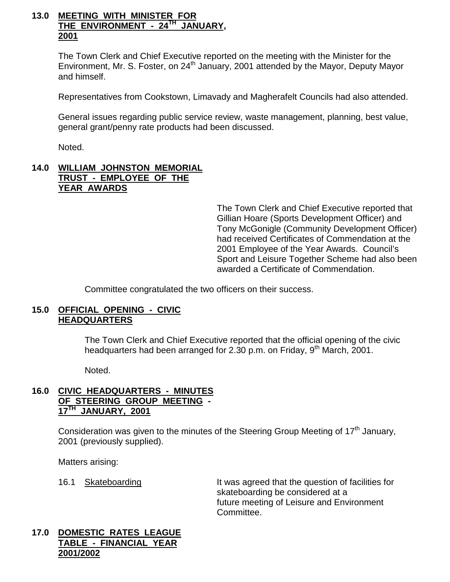## **13.0 MEETING WITH MINISTER FOR THE ENVIRONMENT - 24TH JANUARY, 2001**

The Town Clerk and Chief Executive reported on the meeting with the Minister for the Environment, Mr. S. Foster, on  $24<sup>th</sup>$  January, 2001 attended by the Mayor, Deputy Mayor and himself.

Representatives from Cookstown, Limavady and Magherafelt Councils had also attended.

General issues regarding public service review, waste management, planning, best value, general grant/penny rate products had been discussed.

Noted.

## **14.0 WILLIAM JOHNSTON MEMORIAL TRUST - EMPLOYEE OF THE YEAR AWARDS**

The Town Clerk and Chief Executive reported that Gillian Hoare (Sports Development Officer) and Tony McGonigle (Community Development Officer) had received Certificates of Commendation at the 2001 Employee of the Year Awards. Council's Sport and Leisure Together Scheme had also been awarded a Certificate of Commendation.

Committee congratulated the two officers on their success.

#### **15.0 OFFICIAL OPENING - CIVIC HEADQUARTERS**

The Town Clerk and Chief Executive reported that the official opening of the civic headquarters had been arranged for 2.30 p.m. on Friday, 9<sup>th</sup> March, 2001.

Noted.

## **16.0 CIVIC HEADQUARTERS - MINUTES OF STEERING GROUP MEETING - 17TH JANUARY, 2001**

Consideration was given to the minutes of the Steering Group Meeting of  $17<sup>th</sup>$  January, 2001 (previously supplied).

Matters arising:

16.1 Skateboarding It was agreed that the question of facilities for skateboarding be considered at a future meeting of Leisure and Environment Committee.

## **17.0 DOMESTIC RATES LEAGUE TABLE - FINANCIAL YEAR 2001/2002**